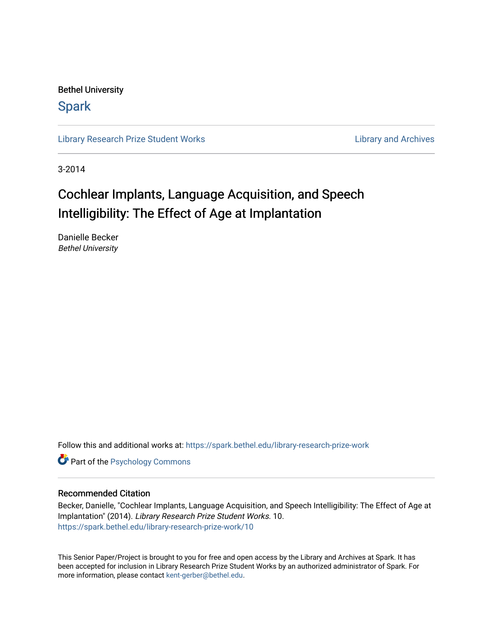Bethel University

# **Spark**

[Library Research Prize Student Works](https://spark.bethel.edu/library-research-prize-work) **Library Access 2018** Library and Archives

3-2014

# Cochlear Implants, Language Acquisition, and Speech Intelligibility: The Effect of Age at Implantation

Danielle Becker Bethel University

Follow this and additional works at: [https://spark.bethel.edu/library-research-prize-work](https://spark.bethel.edu/library-research-prize-work?utm_source=spark.bethel.edu%2Flibrary-research-prize-work%2F10&utm_medium=PDF&utm_campaign=PDFCoverPages) 

**Part of the Psychology Commons** 

# Recommended Citation

Becker, Danielle, "Cochlear Implants, Language Acquisition, and Speech Intelligibility: The Effect of Age at Implantation" (2014). Library Research Prize Student Works. 10. [https://spark.bethel.edu/library-research-prize-work/10](https://spark.bethel.edu/library-research-prize-work/10?utm_source=spark.bethel.edu%2Flibrary-research-prize-work%2F10&utm_medium=PDF&utm_campaign=PDFCoverPages) 

This Senior Paper/Project is brought to you for free and open access by the Library and Archives at Spark. It has been accepted for inclusion in Library Research Prize Student Works by an authorized administrator of Spark. For more information, please contact [kent-gerber@bethel.edu.](mailto:kent-gerber@bethel.edu)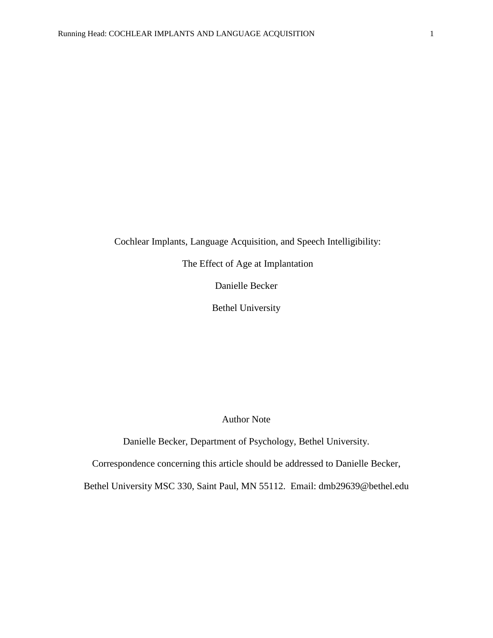Cochlear Implants, Language Acquisition, and Speech Intelligibility:

The Effect of Age at Implantation

Danielle Becker

Bethel University

Author Note

Danielle Becker, Department of Psychology, Bethel University.

Correspondence concerning this article should be addressed to Danielle Becker,

Bethel University MSC 330, Saint Paul, MN 55112. Email: dmb29639@bethel.edu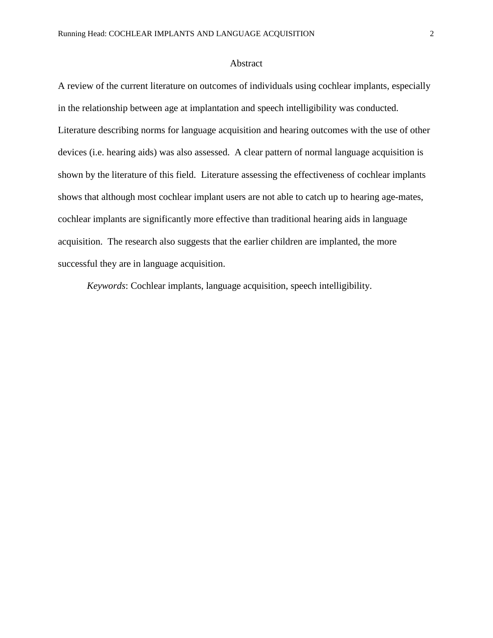# Abstract

A review of the current literature on outcomes of individuals using cochlear implants, especially in the relationship between age at implantation and speech intelligibility was conducted. Literature describing norms for language acquisition and hearing outcomes with the use of other devices (i.e. hearing aids) was also assessed. A clear pattern of normal language acquisition is shown by the literature of this field. Literature assessing the effectiveness of cochlear implants shows that although most cochlear implant users are not able to catch up to hearing age-mates, cochlear implants are significantly more effective than traditional hearing aids in language acquisition. The research also suggests that the earlier children are implanted, the more successful they are in language acquisition.

*Keywords*: Cochlear implants, language acquisition, speech intelligibility.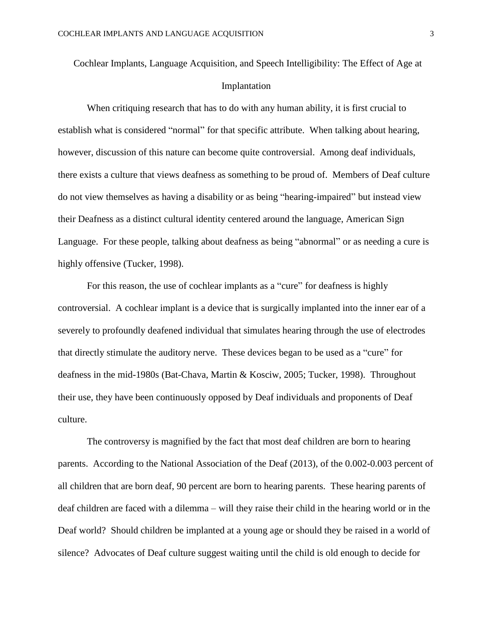Cochlear Implants, Language Acquisition, and Speech Intelligibility: The Effect of Age at Implantation

When critiquing research that has to do with any human ability, it is first crucial to establish what is considered "normal" for that specific attribute. When talking about hearing, however, discussion of this nature can become quite controversial. Among deaf individuals, there exists a culture that views deafness as something to be proud of. Members of Deaf culture do not view themselves as having a disability or as being "hearing-impaired" but instead view their Deafness as a distinct cultural identity centered around the language, American Sign Language. For these people, talking about deafness as being "abnormal" or as needing a cure is highly offensive (Tucker, 1998).

For this reason, the use of cochlear implants as a "cure" for deafness is highly controversial. A cochlear implant is a device that is surgically implanted into the inner ear of a severely to profoundly deafened individual that simulates hearing through the use of electrodes that directly stimulate the auditory nerve. These devices began to be used as a "cure" for deafness in the mid-1980s (Bat-Chava, Martin & Kosciw, 2005; Tucker, 1998). Throughout their use, they have been continuously opposed by Deaf individuals and proponents of Deaf culture.

The controversy is magnified by the fact that most deaf children are born to hearing parents. According to the National Association of the Deaf (2013), of the 0.002-0.003 percent of all children that are born deaf, 90 percent are born to hearing parents. These hearing parents of deaf children are faced with a dilemma – will they raise their child in the hearing world or in the Deaf world? Should children be implanted at a young age or should they be raised in a world of silence? Advocates of Deaf culture suggest waiting until the child is old enough to decide for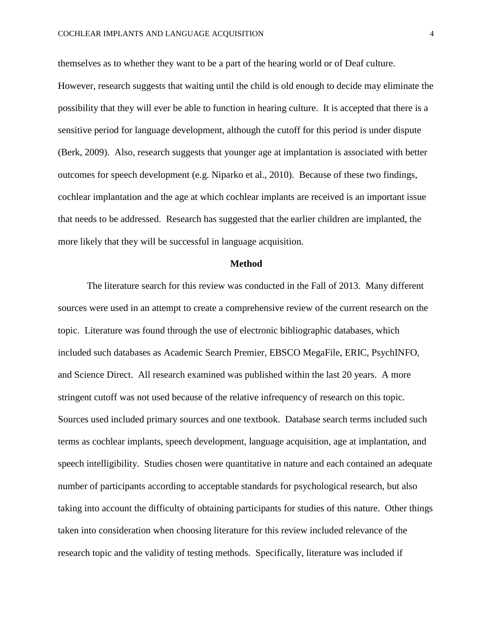themselves as to whether they want to be a part of the hearing world or of Deaf culture. However, research suggests that waiting until the child is old enough to decide may eliminate the possibility that they will ever be able to function in hearing culture. It is accepted that there is a sensitive period for language development, although the cutoff for this period is under dispute (Berk, 2009). Also, research suggests that younger age at implantation is associated with better outcomes for speech development (e.g. Niparko et al., 2010). Because of these two findings, cochlear implantation and the age at which cochlear implants are received is an important issue that needs to be addressed. Research has suggested that the earlier children are implanted, the more likely that they will be successful in language acquisition.

# **Method**

The literature search for this review was conducted in the Fall of 2013. Many different sources were used in an attempt to create a comprehensive review of the current research on the topic. Literature was found through the use of electronic bibliographic databases, which included such databases as Academic Search Premier, EBSCO MegaFile, ERIC, PsychINFO, and Science Direct. All research examined was published within the last 20 years. A more stringent cutoff was not used because of the relative infrequency of research on this topic. Sources used included primary sources and one textbook. Database search terms included such terms as cochlear implants, speech development, language acquisition, age at implantation, and speech intelligibility. Studies chosen were quantitative in nature and each contained an adequate number of participants according to acceptable standards for psychological research, but also taking into account the difficulty of obtaining participants for studies of this nature. Other things taken into consideration when choosing literature for this review included relevance of the research topic and the validity of testing methods. Specifically, literature was included if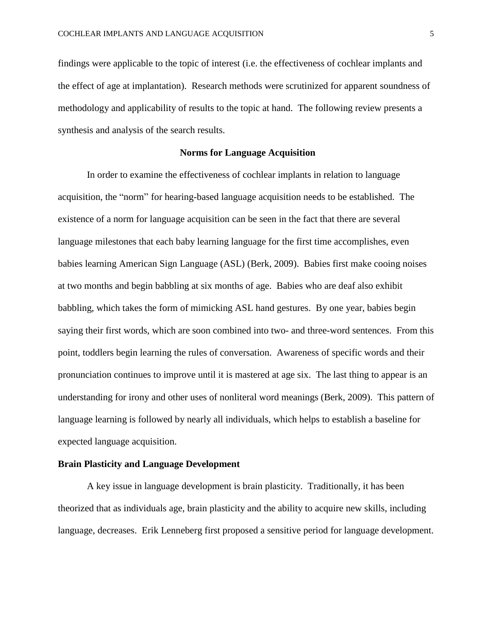findings were applicable to the topic of interest (i.e. the effectiveness of cochlear implants and the effect of age at implantation). Research methods were scrutinized for apparent soundness of methodology and applicability of results to the topic at hand. The following review presents a synthesis and analysis of the search results.

# **Norms for Language Acquisition**

In order to examine the effectiveness of cochlear implants in relation to language acquisition, the "norm" for hearing-based language acquisition needs to be established. The existence of a norm for language acquisition can be seen in the fact that there are several language milestones that each baby learning language for the first time accomplishes, even babies learning American Sign Language (ASL) (Berk, 2009). Babies first make cooing noises at two months and begin babbling at six months of age. Babies who are deaf also exhibit babbling, which takes the form of mimicking ASL hand gestures. By one year, babies begin saying their first words, which are soon combined into two- and three-word sentences. From this point, toddlers begin learning the rules of conversation. Awareness of specific words and their pronunciation continues to improve until it is mastered at age six. The last thing to appear is an understanding for irony and other uses of nonliteral word meanings (Berk, 2009). This pattern of language learning is followed by nearly all individuals, which helps to establish a baseline for expected language acquisition.

# **Brain Plasticity and Language Development**

A key issue in language development is brain plasticity. Traditionally, it has been theorized that as individuals age, brain plasticity and the ability to acquire new skills, including language, decreases. Erik Lenneberg first proposed a sensitive period for language development.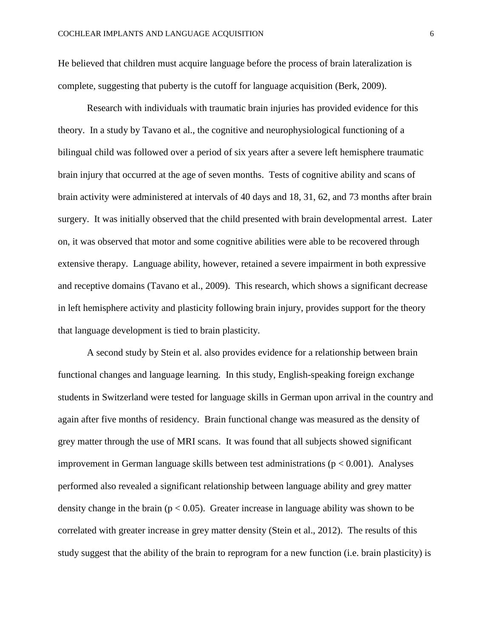He believed that children must acquire language before the process of brain lateralization is complete, suggesting that puberty is the cutoff for language acquisition (Berk, 2009).

Research with individuals with traumatic brain injuries has provided evidence for this theory. In a study by Tavano et al., the cognitive and neurophysiological functioning of a bilingual child was followed over a period of six years after a severe left hemisphere traumatic brain injury that occurred at the age of seven months. Tests of cognitive ability and scans of brain activity were administered at intervals of 40 days and 18, 31, 62, and 73 months after brain surgery. It was initially observed that the child presented with brain developmental arrest. Later on, it was observed that motor and some cognitive abilities were able to be recovered through extensive therapy. Language ability, however, retained a severe impairment in both expressive and receptive domains (Tavano et al., 2009). This research, which shows a significant decrease in left hemisphere activity and plasticity following brain injury, provides support for the theory that language development is tied to brain plasticity.

A second study by Stein et al. also provides evidence for a relationship between brain functional changes and language learning. In this study, English-speaking foreign exchange students in Switzerland were tested for language skills in German upon arrival in the country and again after five months of residency. Brain functional change was measured as the density of grey matter through the use of MRI scans. It was found that all subjects showed significant improvement in German language skills between test administrations ( $p < 0.001$ ). Analyses performed also revealed a significant relationship between language ability and grey matter density change in the brain ( $p < 0.05$ ). Greater increase in language ability was shown to be correlated with greater increase in grey matter density (Stein et al., 2012). The results of this study suggest that the ability of the brain to reprogram for a new function (i.e. brain plasticity) is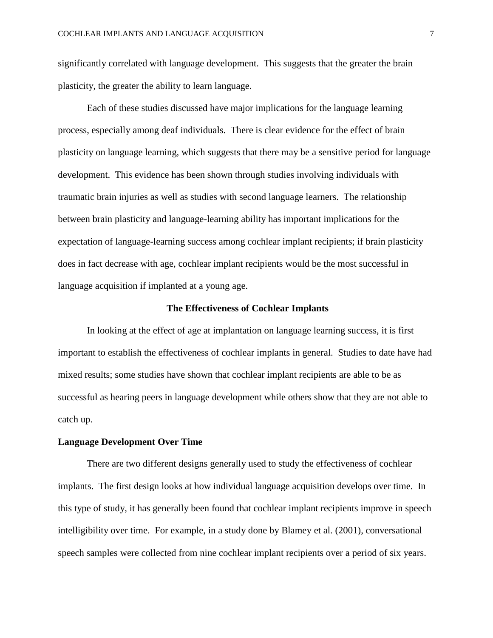significantly correlated with language development. This suggests that the greater the brain plasticity, the greater the ability to learn language.

Each of these studies discussed have major implications for the language learning process, especially among deaf individuals. There is clear evidence for the effect of brain plasticity on language learning, which suggests that there may be a sensitive period for language development. This evidence has been shown through studies involving individuals with traumatic brain injuries as well as studies with second language learners. The relationship between brain plasticity and language-learning ability has important implications for the expectation of language-learning success among cochlear implant recipients; if brain plasticity does in fact decrease with age, cochlear implant recipients would be the most successful in language acquisition if implanted at a young age.

# **The Effectiveness of Cochlear Implants**

In looking at the effect of age at implantation on language learning success, it is first important to establish the effectiveness of cochlear implants in general. Studies to date have had mixed results; some studies have shown that cochlear implant recipients are able to be as successful as hearing peers in language development while others show that they are not able to catch up.

#### **Language Development Over Time**

There are two different designs generally used to study the effectiveness of cochlear implants. The first design looks at how individual language acquisition develops over time. In this type of study, it has generally been found that cochlear implant recipients improve in speech intelligibility over time. For example, in a study done by Blamey et al. (2001), conversational speech samples were collected from nine cochlear implant recipients over a period of six years.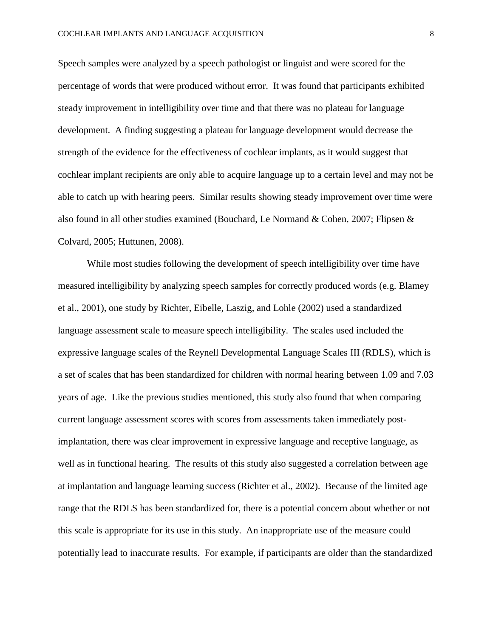Speech samples were analyzed by a speech pathologist or linguist and were scored for the percentage of words that were produced without error. It was found that participants exhibited steady improvement in intelligibility over time and that there was no plateau for language development. A finding suggesting a plateau for language development would decrease the strength of the evidence for the effectiveness of cochlear implants, as it would suggest that cochlear implant recipients are only able to acquire language up to a certain level and may not be able to catch up with hearing peers. Similar results showing steady improvement over time were also found in all other studies examined (Bouchard, Le Normand & Cohen, 2007; Flipsen & Colvard, 2005; Huttunen, 2008).

While most studies following the development of speech intelligibility over time have measured intelligibility by analyzing speech samples for correctly produced words (e.g. Blamey et al., 2001), one study by Richter, Eibelle, Laszig, and Lohle (2002) used a standardized language assessment scale to measure speech intelligibility. The scales used included the expressive language scales of the Reynell Developmental Language Scales III (RDLS), which is a set of scales that has been standardized for children with normal hearing between 1.09 and 7.03 years of age. Like the previous studies mentioned, this study also found that when comparing current language assessment scores with scores from assessments taken immediately postimplantation, there was clear improvement in expressive language and receptive language, as well as in functional hearing. The results of this study also suggested a correlation between age at implantation and language learning success (Richter et al., 2002). Because of the limited age range that the RDLS has been standardized for, there is a potential concern about whether or not this scale is appropriate for its use in this study. An inappropriate use of the measure could potentially lead to inaccurate results. For example, if participants are older than the standardized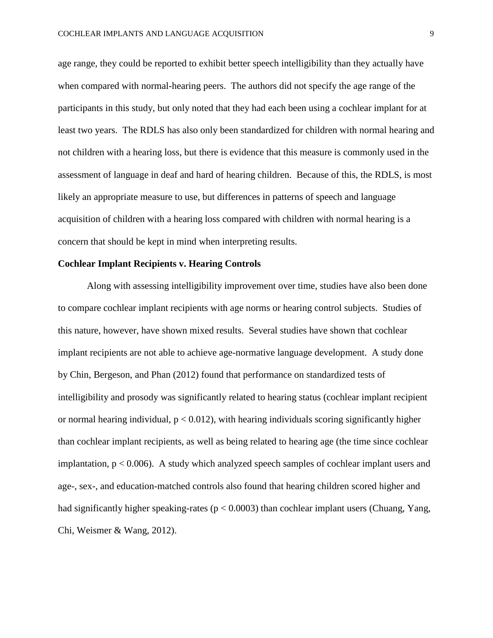age range, they could be reported to exhibit better speech intelligibility than they actually have when compared with normal-hearing peers. The authors did not specify the age range of the participants in this study, but only noted that they had each been using a cochlear implant for at least two years. The RDLS has also only been standardized for children with normal hearing and not children with a hearing loss, but there is evidence that this measure is commonly used in the assessment of language in deaf and hard of hearing children. Because of this, the RDLS, is most likely an appropriate measure to use, but differences in patterns of speech and language acquisition of children with a hearing loss compared with children with normal hearing is a concern that should be kept in mind when interpreting results.

# **Cochlear Implant Recipients v. Hearing Controls**

Along with assessing intelligibility improvement over time, studies have also been done to compare cochlear implant recipients with age norms or hearing control subjects. Studies of this nature, however, have shown mixed results. Several studies have shown that cochlear implant recipients are not able to achieve age-normative language development. A study done by Chin, Bergeson, and Phan (2012) found that performance on standardized tests of intelligibility and prosody was significantly related to hearing status (cochlear implant recipient or normal hearing individual,  $p < 0.012$ ), with hearing individuals scoring significantly higher than cochlear implant recipients, as well as being related to hearing age (the time since cochlear implantation,  $p < 0.006$ ). A study which analyzed speech samples of cochlear implant users and age-, sex-, and education-matched controls also found that hearing children scored higher and had significantly higher speaking-rates ( $p < 0.0003$ ) than cochlear implant users (Chuang, Yang, Chi, Weismer & Wang, 2012).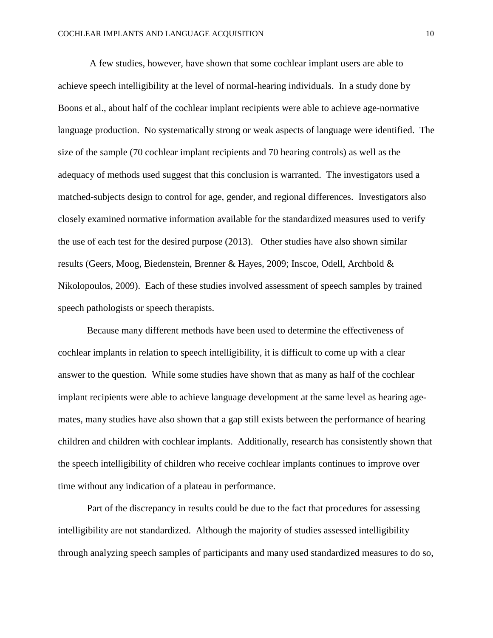A few studies, however, have shown that some cochlear implant users are able to achieve speech intelligibility at the level of normal-hearing individuals. In a study done by Boons et al., about half of the cochlear implant recipients were able to achieve age-normative language production. No systematically strong or weak aspects of language were identified. The size of the sample (70 cochlear implant recipients and 70 hearing controls) as well as the adequacy of methods used suggest that this conclusion is warranted. The investigators used a matched-subjects design to control for age, gender, and regional differences. Investigators also closely examined normative information available for the standardized measures used to verify the use of each test for the desired purpose (2013). Other studies have also shown similar results (Geers, Moog, Biedenstein, Brenner & Hayes, 2009; Inscoe, Odell, Archbold & Nikolopoulos, 2009). Each of these studies involved assessment of speech samples by trained speech pathologists or speech therapists.

Because many different methods have been used to determine the effectiveness of cochlear implants in relation to speech intelligibility, it is difficult to come up with a clear answer to the question. While some studies have shown that as many as half of the cochlear implant recipients were able to achieve language development at the same level as hearing agemates, many studies have also shown that a gap still exists between the performance of hearing children and children with cochlear implants. Additionally, research has consistently shown that the speech intelligibility of children who receive cochlear implants continues to improve over time without any indication of a plateau in performance.

Part of the discrepancy in results could be due to the fact that procedures for assessing intelligibility are not standardized. Although the majority of studies assessed intelligibility through analyzing speech samples of participants and many used standardized measures to do so,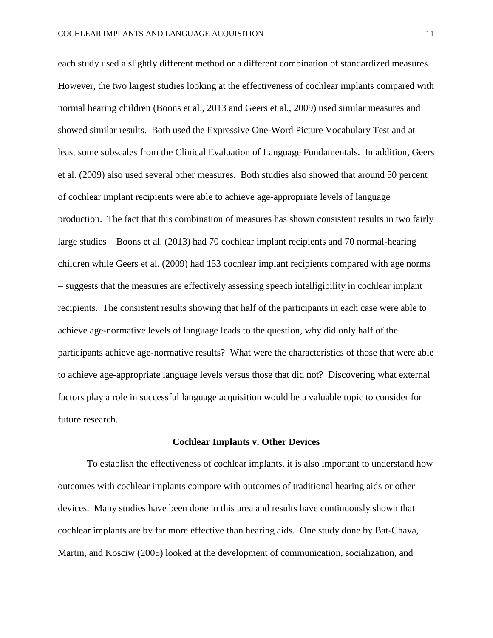each study used a slightly different method or a different combination of standardized measures. However, the two largest studies looking at the effectiveness of cochlear implants compared with normal hearing children (Boons et al., 2013 and Geers et al., 2009) used similar measures and showed similar results. Both used the Expressive One-Word Picture Vocabulary Test and at least some subscales from the Clinical Evaluation of Language Fundamentals. In addition, Geers et al. (2009) also used several other measures. Both studies also showed that around 50 percent of cochlear implant recipients were able to achieve age-appropriate levels of language production. The fact that this combination of measures has shown consistent results in two fairly large studies – Boons et al. (2013) had 70 cochlear implant recipients and 70 normal-hearing children while Geers et al. (2009) had 153 cochlear implant recipients compared with age norms – suggests that the measures are effectively assessing speech intelligibility in cochlear implant recipients. The consistent results showing that half of the participants in each case were able to achieve age-normative levels of language leads to the question, why did only half of the participants achieve age-normative results? What were the characteristics of those that were able to achieve age-appropriate language levels versus those that did not? Discovering what external factors play a role in successful language acquisition would be a valuable topic to consider for future research.

#### **Cochlear Implants v. Other Devices**

To establish the effectiveness of cochlear implants, it is also important to understand how outcomes with cochlear implants compare with outcomes of traditional hearing aids or other devices. Many studies have been done in this area and results have continuously shown that cochlear implants are by far more effective than hearing aids. One study done by Bat-Chava, Martin, and Kosciw (2005) looked at the development of communication, socialization, and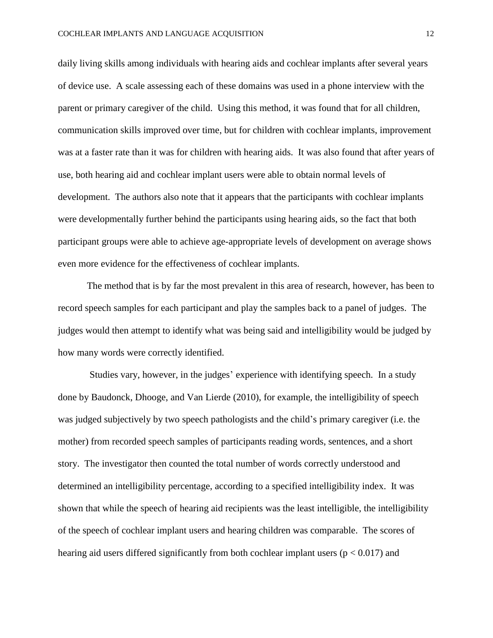daily living skills among individuals with hearing aids and cochlear implants after several years of device use. A scale assessing each of these domains was used in a phone interview with the parent or primary caregiver of the child. Using this method, it was found that for all children, communication skills improved over time, but for children with cochlear implants, improvement was at a faster rate than it was for children with hearing aids. It was also found that after years of use, both hearing aid and cochlear implant users were able to obtain normal levels of development. The authors also note that it appears that the participants with cochlear implants were developmentally further behind the participants using hearing aids, so the fact that both participant groups were able to achieve age-appropriate levels of development on average shows even more evidence for the effectiveness of cochlear implants.

The method that is by far the most prevalent in this area of research, however, has been to record speech samples for each participant and play the samples back to a panel of judges. The judges would then attempt to identify what was being said and intelligibility would be judged by how many words were correctly identified.

Studies vary, however, in the judges' experience with identifying speech. In a study done by Baudonck, Dhooge, and Van Lierde (2010), for example, the intelligibility of speech was judged subjectively by two speech pathologists and the child's primary caregiver (i.e. the mother) from recorded speech samples of participants reading words, sentences, and a short story. The investigator then counted the total number of words correctly understood and determined an intelligibility percentage, according to a specified intelligibility index. It was shown that while the speech of hearing aid recipients was the least intelligible, the intelligibility of the speech of cochlear implant users and hearing children was comparable. The scores of hearing aid users differed significantly from both cochlear implant users ( $p < 0.017$ ) and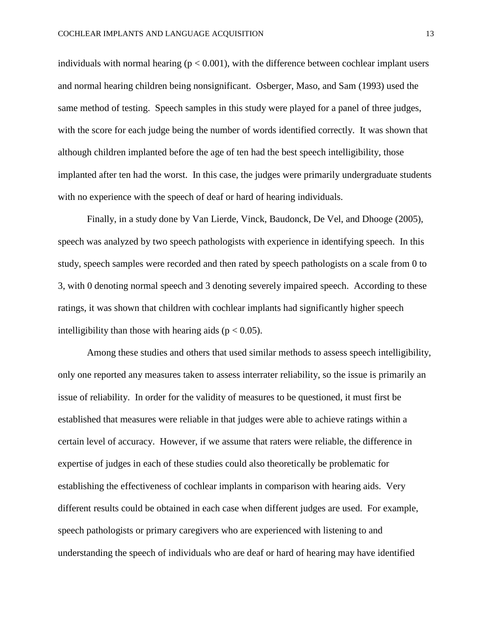individuals with normal hearing ( $p < 0.001$ ), with the difference between cochlear implant users and normal hearing children being nonsignificant. Osberger, Maso, and Sam (1993) used the same method of testing. Speech samples in this study were played for a panel of three judges, with the score for each judge being the number of words identified correctly. It was shown that although children implanted before the age of ten had the best speech intelligibility, those implanted after ten had the worst. In this case, the judges were primarily undergraduate students with no experience with the speech of deaf or hard of hearing individuals.

Finally, in a study done by Van Lierde, Vinck, Baudonck, De Vel, and Dhooge (2005), speech was analyzed by two speech pathologists with experience in identifying speech. In this study, speech samples were recorded and then rated by speech pathologists on a scale from 0 to 3, with 0 denoting normal speech and 3 denoting severely impaired speech. According to these ratings, it was shown that children with cochlear implants had significantly higher speech intelligibility than those with hearing aids ( $p < 0.05$ ).

Among these studies and others that used similar methods to assess speech intelligibility, only one reported any measures taken to assess interrater reliability, so the issue is primarily an issue of reliability. In order for the validity of measures to be questioned, it must first be established that measures were reliable in that judges were able to achieve ratings within a certain level of accuracy. However, if we assume that raters were reliable, the difference in expertise of judges in each of these studies could also theoretically be problematic for establishing the effectiveness of cochlear implants in comparison with hearing aids. Very different results could be obtained in each case when different judges are used. For example, speech pathologists or primary caregivers who are experienced with listening to and understanding the speech of individuals who are deaf or hard of hearing may have identified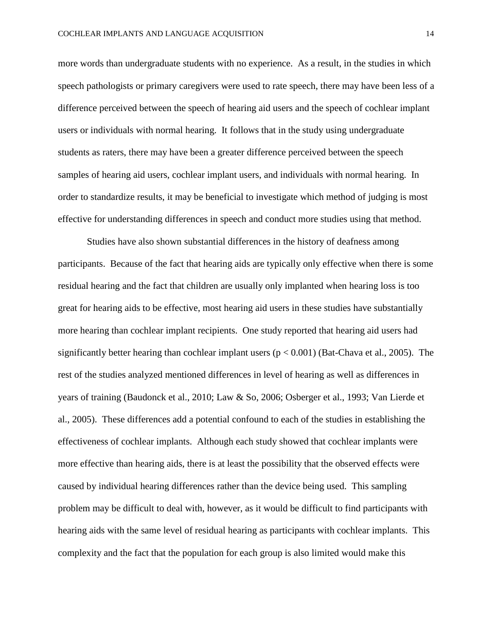more words than undergraduate students with no experience. As a result, in the studies in which speech pathologists or primary caregivers were used to rate speech, there may have been less of a difference perceived between the speech of hearing aid users and the speech of cochlear implant users or individuals with normal hearing. It follows that in the study using undergraduate students as raters, there may have been a greater difference perceived between the speech samples of hearing aid users, cochlear implant users, and individuals with normal hearing. In order to standardize results, it may be beneficial to investigate which method of judging is most effective for understanding differences in speech and conduct more studies using that method.

Studies have also shown substantial differences in the history of deafness among participants. Because of the fact that hearing aids are typically only effective when there is some residual hearing and the fact that children are usually only implanted when hearing loss is too great for hearing aids to be effective, most hearing aid users in these studies have substantially more hearing than cochlear implant recipients. One study reported that hearing aid users had significantly better hearing than cochlear implant users  $(p < 0.001)$  (Bat-Chava et al., 2005). The rest of the studies analyzed mentioned differences in level of hearing as well as differences in years of training (Baudonck et al., 2010; Law & So, 2006; Osberger et al., 1993; Van Lierde et al., 2005). These differences add a potential confound to each of the studies in establishing the effectiveness of cochlear implants. Although each study showed that cochlear implants were more effective than hearing aids, there is at least the possibility that the observed effects were caused by individual hearing differences rather than the device being used. This sampling problem may be difficult to deal with, however, as it would be difficult to find participants with hearing aids with the same level of residual hearing as participants with cochlear implants. This complexity and the fact that the population for each group is also limited would make this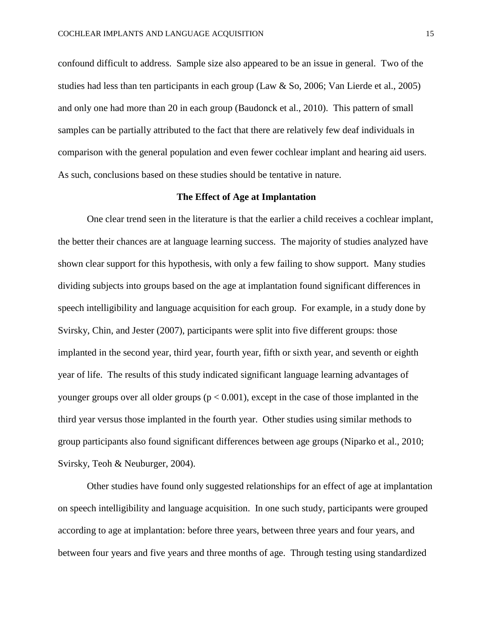confound difficult to address. Sample size also appeared to be an issue in general. Two of the studies had less than ten participants in each group (Law & So, 2006; Van Lierde et al., 2005) and only one had more than 20 in each group (Baudonck et al., 2010). This pattern of small samples can be partially attributed to the fact that there are relatively few deaf individuals in comparison with the general population and even fewer cochlear implant and hearing aid users. As such, conclusions based on these studies should be tentative in nature.

# **The Effect of Age at Implantation**

One clear trend seen in the literature is that the earlier a child receives a cochlear implant, the better their chances are at language learning success. The majority of studies analyzed have shown clear support for this hypothesis, with only a few failing to show support. Many studies dividing subjects into groups based on the age at implantation found significant differences in speech intelligibility and language acquisition for each group. For example, in a study done by Svirsky, Chin, and Jester (2007), participants were split into five different groups: those implanted in the second year, third year, fourth year, fifth or sixth year, and seventh or eighth year of life. The results of this study indicated significant language learning advantages of younger groups over all older groups ( $p < 0.001$ ), except in the case of those implanted in the third year versus those implanted in the fourth year. Other studies using similar methods to group participants also found significant differences between age groups (Niparko et al., 2010; Svirsky, Teoh & Neuburger, 2004).

Other studies have found only suggested relationships for an effect of age at implantation on speech intelligibility and language acquisition. In one such study, participants were grouped according to age at implantation: before three years, between three years and four years, and between four years and five years and three months of age. Through testing using standardized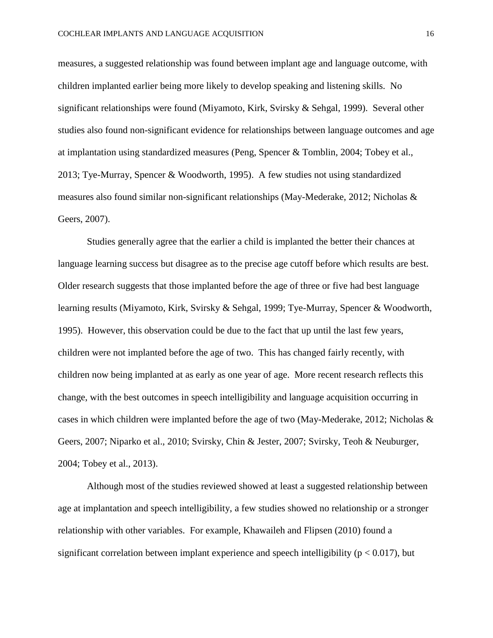measures, a suggested relationship was found between implant age and language outcome, with children implanted earlier being more likely to develop speaking and listening skills. No significant relationships were found (Miyamoto, Kirk, Svirsky & Sehgal, 1999). Several other studies also found non-significant evidence for relationships between language outcomes and age at implantation using standardized measures (Peng, Spencer & Tomblin, 2004; Tobey et al., 2013; Tye-Murray, Spencer & Woodworth, 1995). A few studies not using standardized measures also found similar non-significant relationships (May-Mederake, 2012; Nicholas & Geers, 2007).

Studies generally agree that the earlier a child is implanted the better their chances at language learning success but disagree as to the precise age cutoff before which results are best. Older research suggests that those implanted before the age of three or five had best language learning results (Miyamoto, Kirk, Svirsky & Sehgal, 1999; Tye-Murray, Spencer & Woodworth, 1995). However, this observation could be due to the fact that up until the last few years, children were not implanted before the age of two. This has changed fairly recently, with children now being implanted at as early as one year of age. More recent research reflects this change, with the best outcomes in speech intelligibility and language acquisition occurring in cases in which children were implanted before the age of two (May-Mederake, 2012; Nicholas & Geers, 2007; Niparko et al., 2010; Svirsky, Chin & Jester, 2007; Svirsky, Teoh & Neuburger, 2004; Tobey et al., 2013).

Although most of the studies reviewed showed at least a suggested relationship between age at implantation and speech intelligibility, a few studies showed no relationship or a stronger relationship with other variables. For example, Khawaileh and Flipsen (2010) found a significant correlation between implant experience and speech intelligibility ( $p < 0.017$ ), but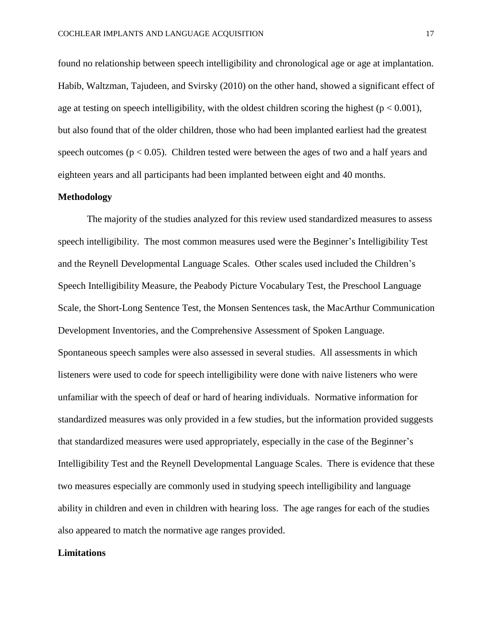found no relationship between speech intelligibility and chronological age or age at implantation. Habib, Waltzman, Tajudeen, and Svirsky (2010) on the other hand, showed a significant effect of age at testing on speech intelligibility, with the oldest children scoring the highest ( $p < 0.001$ ), but also found that of the older children, those who had been implanted earliest had the greatest speech outcomes ( $p < 0.05$ ). Children tested were between the ages of two and a half years and eighteen years and all participants had been implanted between eight and 40 months.

# **Methodology**

The majority of the studies analyzed for this review used standardized measures to assess speech intelligibility. The most common measures used were the Beginner's Intelligibility Test and the Reynell Developmental Language Scales. Other scales used included the Children's Speech Intelligibility Measure, the Peabody Picture Vocabulary Test, the Preschool Language Scale, the Short-Long Sentence Test, the Monsen Sentences task, the MacArthur Communication Development Inventories, and the Comprehensive Assessment of Spoken Language. Spontaneous speech samples were also assessed in several studies. All assessments in which listeners were used to code for speech intelligibility were done with naive listeners who were unfamiliar with the speech of deaf or hard of hearing individuals. Normative information for standardized measures was only provided in a few studies, but the information provided suggests that standardized measures were used appropriately, especially in the case of the Beginner's Intelligibility Test and the Reynell Developmental Language Scales. There is evidence that these two measures especially are commonly used in studying speech intelligibility and language ability in children and even in children with hearing loss. The age ranges for each of the studies also appeared to match the normative age ranges provided.

#### **Limitations**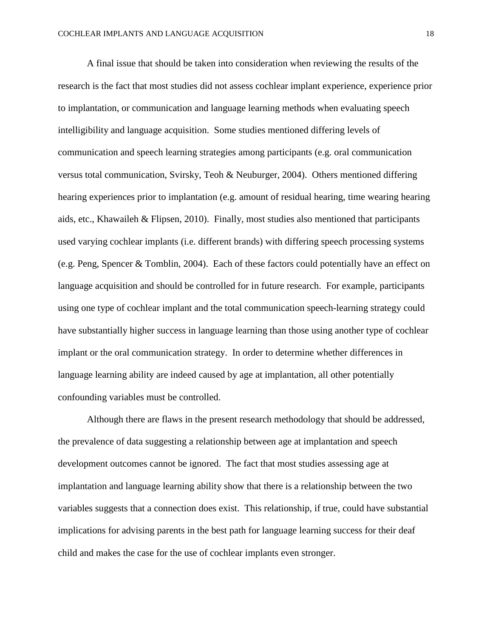A final issue that should be taken into consideration when reviewing the results of the research is the fact that most studies did not assess cochlear implant experience, experience prior to implantation, or communication and language learning methods when evaluating speech intelligibility and language acquisition. Some studies mentioned differing levels of communication and speech learning strategies among participants (e.g. oral communication versus total communication, Svirsky, Teoh & Neuburger, 2004). Others mentioned differing hearing experiences prior to implantation (e.g. amount of residual hearing, time wearing hearing aids, etc., Khawaileh & Flipsen, 2010). Finally, most studies also mentioned that participants used varying cochlear implants (i.e. different brands) with differing speech processing systems (e.g. Peng, Spencer & Tomblin, 2004). Each of these factors could potentially have an effect on language acquisition and should be controlled for in future research. For example, participants using one type of cochlear implant and the total communication speech-learning strategy could have substantially higher success in language learning than those using another type of cochlear implant or the oral communication strategy. In order to determine whether differences in language learning ability are indeed caused by age at implantation, all other potentially confounding variables must be controlled.

Although there are flaws in the present research methodology that should be addressed, the prevalence of data suggesting a relationship between age at implantation and speech development outcomes cannot be ignored. The fact that most studies assessing age at implantation and language learning ability show that there is a relationship between the two variables suggests that a connection does exist. This relationship, if true, could have substantial implications for advising parents in the best path for language learning success for their deaf child and makes the case for the use of cochlear implants even stronger.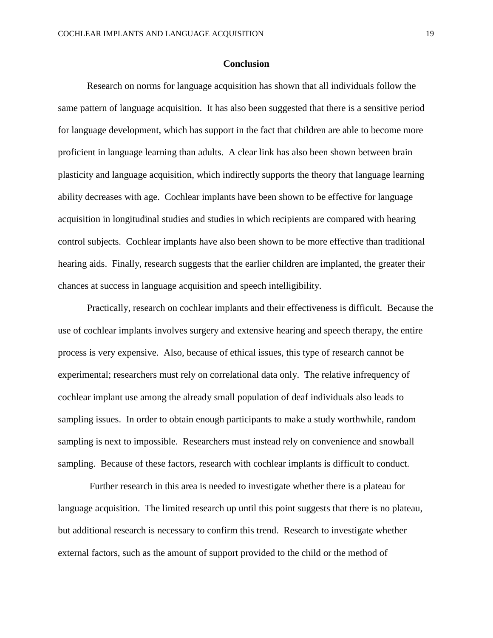# **Conclusion**

Research on norms for language acquisition has shown that all individuals follow the same pattern of language acquisition. It has also been suggested that there is a sensitive period for language development, which has support in the fact that children are able to become more proficient in language learning than adults. A clear link has also been shown between brain plasticity and language acquisition, which indirectly supports the theory that language learning ability decreases with age. Cochlear implants have been shown to be effective for language acquisition in longitudinal studies and studies in which recipients are compared with hearing control subjects. Cochlear implants have also been shown to be more effective than traditional hearing aids. Finally, research suggests that the earlier children are implanted, the greater their chances at success in language acquisition and speech intelligibility.

Practically, research on cochlear implants and their effectiveness is difficult. Because the use of cochlear implants involves surgery and extensive hearing and speech therapy, the entire process is very expensive. Also, because of ethical issues, this type of research cannot be experimental; researchers must rely on correlational data only. The relative infrequency of cochlear implant use among the already small population of deaf individuals also leads to sampling issues. In order to obtain enough participants to make a study worthwhile, random sampling is next to impossible. Researchers must instead rely on convenience and snowball sampling. Because of these factors, research with cochlear implants is difficult to conduct.

Further research in this area is needed to investigate whether there is a plateau for language acquisition. The limited research up until this point suggests that there is no plateau, but additional research is necessary to confirm this trend. Research to investigate whether external factors, such as the amount of support provided to the child or the method of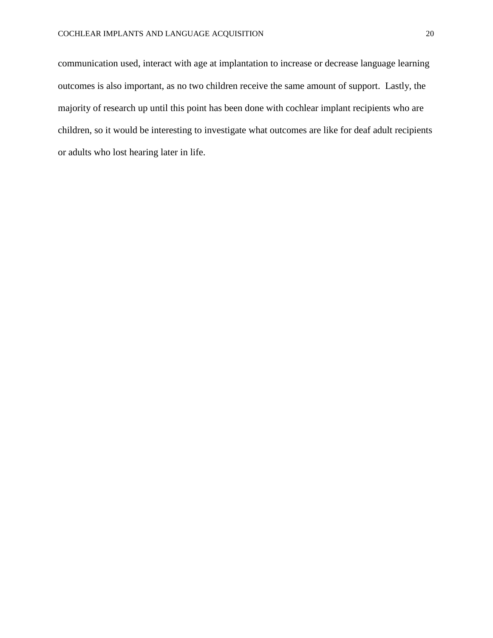communication used, interact with age at implantation to increase or decrease language learning outcomes is also important, as no two children receive the same amount of support. Lastly, the majority of research up until this point has been done with cochlear implant recipients who are children, so it would be interesting to investigate what outcomes are like for deaf adult recipients or adults who lost hearing later in life.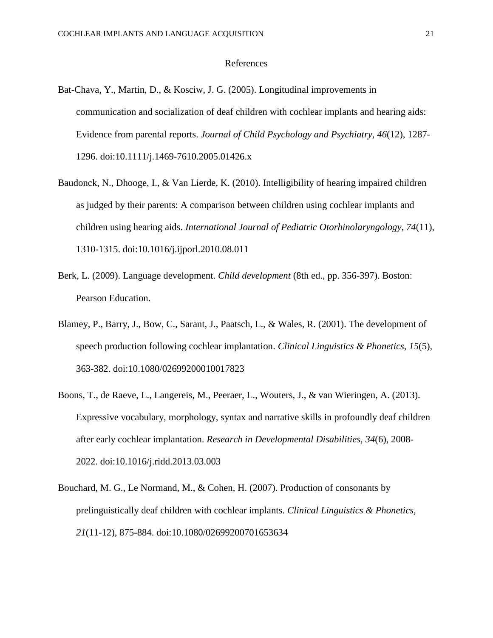## References

- Bat-Chava, Y., Martin, D., & Kosciw, J. G. (2005). Longitudinal improvements in communication and socialization of deaf children with cochlear implants and hearing aids: Evidence from parental reports. *Journal of Child Psychology and Psychiatry, 46*(12), 1287- 1296. doi:10.1111/j.1469-7610.2005.01426.x
- Baudonck, N., Dhooge, I., & Van Lierde, K. (2010). Intelligibility of hearing impaired children as judged by their parents: A comparison between children using cochlear implants and children using hearing aids. *International Journal of Pediatric Otorhinolaryngology, 74*(11), 1310-1315. doi:10.1016/j.ijporl.2010.08.011
- Berk, L. (2009). Language development. *Child development* (8th ed., pp. 356-397). Boston: Pearson Education.
- Blamey, P., Barry, J., Bow, C., Sarant, J., Paatsch, L., & Wales, R. (2001). The development of speech production following cochlear implantation. *Clinical Linguistics & Phonetics, 15*(5), 363-382. doi:10.1080/02699200010017823
- Boons, T., de Raeve, L., Langereis, M., Peeraer, L., Wouters, J., & van Wieringen, A. (2013). Expressive vocabulary, morphology, syntax and narrative skills in profoundly deaf children after early cochlear implantation. *Research in Developmental Disabilities, 34*(6), 2008- 2022. doi:10.1016/j.ridd.2013.03.003
- Bouchard, M. G., Le Normand, M., & Cohen, H. (2007). Production of consonants by prelinguistically deaf children with cochlear implants. *Clinical Linguistics & Phonetics, 21*(11-12), 875-884. doi:10.1080/02699200701653634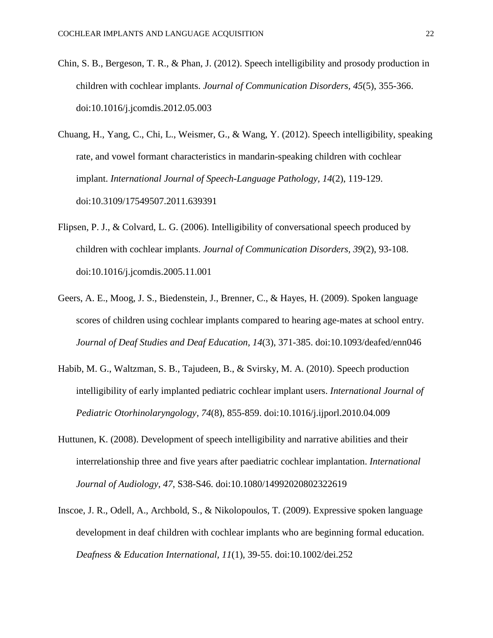- Chin, S. B., Bergeson, T. R., & Phan, J. (2012). Speech intelligibility and prosody production in children with cochlear implants. *Journal of Communication Disorders, 45*(5), 355-366. doi:10.1016/j.jcomdis.2012.05.003
- Chuang, H., Yang, C., Chi, L., Weismer, G., & Wang, Y. (2012). Speech intelligibility, speaking rate, and vowel formant characteristics in mandarin-speaking children with cochlear implant. *International Journal of Speech-Language Pathology, 14*(2), 119-129. doi:10.3109/17549507.2011.639391
- Flipsen, P. J., & Colvard, L. G. (2006). Intelligibility of conversational speech produced by children with cochlear implants. *Journal of Communication Disorders, 39*(2), 93-108. doi:10.1016/j.jcomdis.2005.11.001
- Geers, A. E., Moog, J. S., Biedenstein, J., Brenner, C., & Hayes, H. (2009). Spoken language scores of children using cochlear implants compared to hearing age-mates at school entry. *Journal of Deaf Studies and Deaf Education, 14*(3), 371-385. doi:10.1093/deafed/enn046
- Habib, M. G., Waltzman, S. B., Tajudeen, B., & Svirsky, M. A. (2010). Speech production intelligibility of early implanted pediatric cochlear implant users. *International Journal of Pediatric Otorhinolaryngology, 74*(8), 855-859. doi:10.1016/j.ijporl.2010.04.009
- Huttunen, K. (2008). Development of speech intelligibility and narrative abilities and their interrelationship three and five years after paediatric cochlear implantation. *International Journal of Audiology, 47*, S38-S46. doi:10.1080/14992020802322619
- Inscoe, J. R., Odell, A., Archbold, S., & Nikolopoulos, T. (2009). Expressive spoken language development in deaf children with cochlear implants who are beginning formal education. *Deafness & Education International, 11*(1), 39-55. doi:10.1002/dei.252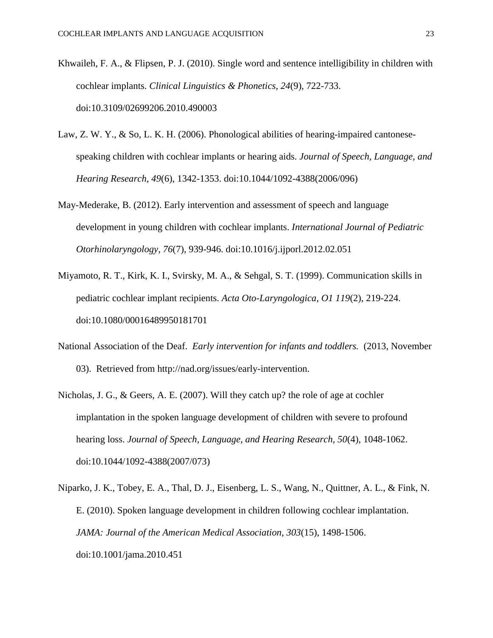- Khwaileh, F. A., & Flipsen, P. J. (2010). Single word and sentence intelligibility in children with cochlear implants. *Clinical Linguistics & Phonetics, 24*(9), 722-733. doi:10.3109/02699206.2010.490003
- Law, Z. W. Y., & So, L. K. H. (2006). Phonological abilities of hearing-impaired cantonesespeaking children with cochlear implants or hearing aids. *Journal of Speech, Language, and Hearing Research, 49*(6), 1342-1353. doi:10.1044/1092-4388(2006/096)
- May-Mederake, B. (2012). Early intervention and assessment of speech and language development in young children with cochlear implants. *International Journal of Pediatric Otorhinolaryngology, 76*(7), 939-946. doi:10.1016/j.ijporl.2012.02.051
- Miyamoto, R. T., Kirk, K. I., Svirsky, M. A., & Sehgal, S. T. (1999). Communication skills in pediatric cochlear implant recipients. *Acta Oto-Laryngologica, O1 119*(2), 219-224. doi:10.1080/00016489950181701
- National Association of the Deaf. *Early intervention for infants and toddlers.* (2013, November 03). Retrieved from http://nad.org/issues/early-intervention.
- Nicholas, J. G., & Geers, A. E. (2007). Will they catch up? the role of age at cochler implantation in the spoken language development of children with severe to profound hearing loss. *Journal of Speech, Language, and Hearing Research, 50*(4), 1048-1062. doi:10.1044/1092-4388(2007/073)
- Niparko, J. K., Tobey, E. A., Thal, D. J., Eisenberg, L. S., Wang, N., Quittner, A. L., & Fink, N. E. (2010). Spoken language development in children following cochlear implantation. *JAMA: Journal of the American Medical Association, 303*(15), 1498-1506. doi:10.1001/jama.2010.451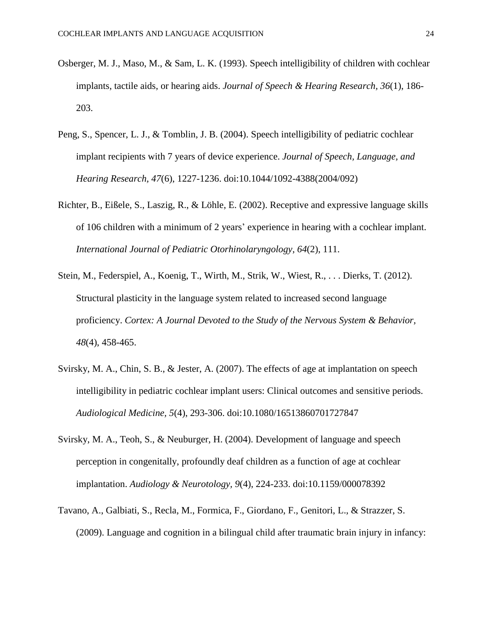- Osberger, M. J., Maso, M., & Sam, L. K. (1993). Speech intelligibility of children with cochlear implants, tactile aids, or hearing aids. *Journal of Speech & Hearing Research, 36*(1), 186- 203.
- Peng, S., Spencer, L. J., & Tomblin, J. B. (2004). Speech intelligibility of pediatric cochlear implant recipients with 7 years of device experience. *Journal of Speech, Language, and Hearing Research, 47*(6), 1227-1236. doi:10.1044/1092-4388(2004/092)
- Richter, B., Eißele, S., Laszig, R., & Löhle, E. (2002). Receptive and expressive language skills of 106 children with a minimum of 2 years' experience in hearing with a cochlear implant. *International Journal of Pediatric Otorhinolaryngology, 64*(2), 111.
- Stein, M., Federspiel, A., Koenig, T., Wirth, M., Strik, W., Wiest, R., . . . Dierks, T. (2012). Structural plasticity in the language system related to increased second language proficiency. *Cortex: A Journal Devoted to the Study of the Nervous System & Behavior, 48*(4), 458-465.
- Svirsky, M. A., Chin, S. B., & Jester, A. (2007). The effects of age at implantation on speech intelligibility in pediatric cochlear implant users: Clinical outcomes and sensitive periods. *Audiological Medicine, 5*(4), 293-306. doi:10.1080/16513860701727847
- Svirsky, M. A., Teoh, S., & Neuburger, H. (2004). Development of language and speech perception in congenitally, profoundly deaf children as a function of age at cochlear implantation. *Audiology & Neurotology, 9*(4), 224-233. doi:10.1159/000078392
- Tavano, A., Galbiati, S., Recla, M., Formica, F., Giordano, F., Genitori, L., & Strazzer, S. (2009). Language and cognition in a bilingual child after traumatic brain injury in infancy: